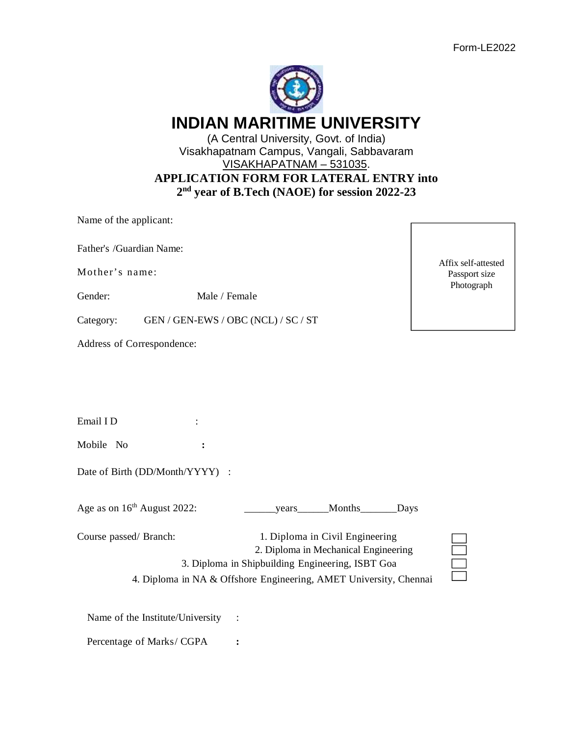Affix self-attested Passport size Photograph

| <b>INDIAN MARITIME UNIVERSITY</b>                         |  |
|-----------------------------------------------------------|--|
| (A Central University, Govt. of India)                    |  |
| Visakhapatnam Campus, Vangali, Sabbavaram                 |  |
| VISAKHAPATNAM - 531035.                                   |  |
| <b>APPLICATION FORM FOR LATERAL ENTRY into</b>            |  |
| 2 <sup>nd</sup> year of B.Tech (NAOE) for session 2022-23 |  |

Name of the applicant:

Father's /Guardian Name:

Mother's name:

Gender: Male / Female

Category: GEN / GEN-EWS / OBC (NCL) / SC / ST

Address of Correspondence:

Email I D  $\qquad \qquad$ :

Mobile No **:**

Date of Birth (DD/Month/YYYY) :

Age as on 16<sup>th</sup> August 2022: \_\_\_\_\_\_\_\_years\_\_\_\_\_Months\_\_\_\_\_\_Days

| Course passed/ Branch: | 1. Diploma in Civil Engineering                                   |
|------------------------|-------------------------------------------------------------------|
|                        | 2. Diploma in Mechanical Engineering                              |
|                        | 3. Diploma in Shipbuilding Engineering, ISBT Goa                  |
|                        | 4. Diploma in NA & Offshore Engineering, AMET University, Chennai |

Name of the Institute/University :

Percentage of Marks/ CGPA **:**